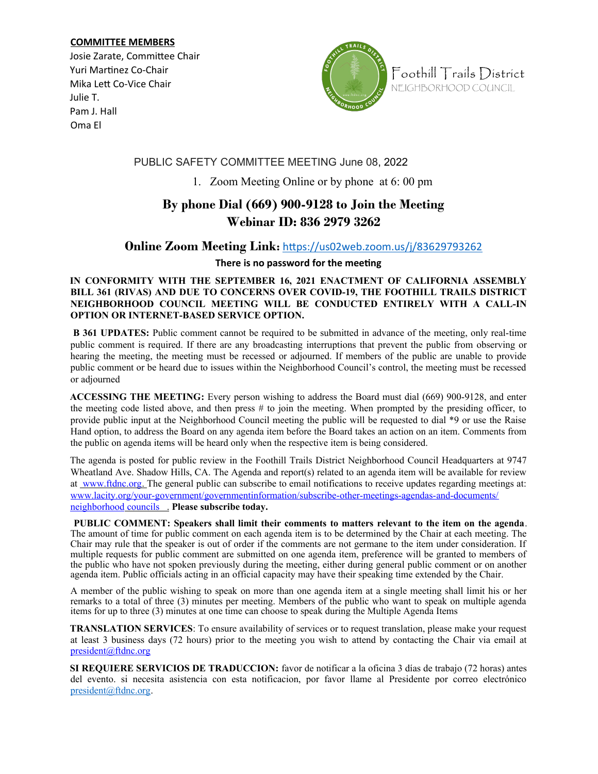#### **COMMITTEE MEMBERS**

Josie Zarate, Committee Chair Yuri Martinez Co-Chair Mika Lett Co-Vice Chair Julie T. Pam J. Hall Oma El



Foothill Trails District NEIGHBORHOOD COUNCIL

## PUBLIC SAFETY COMMITTEE MEETING June 08, 2022

1. Zoom Meeting Online or by phone at 6: 00 pm

# **By phone Dial (669) 900-9128 to Join the Meeting Webinar ID: 836 2979 3262**

## **Online Zoom Meeting Link:** <https://us02web.zoom.us/j/83629793262>

### **There is no password for the meeting**

#### **IN CONFORMITY WITH THE SEPTEMBER 16, 2021 ENACTMENT OF CALIFORNIA ASSEMBLY BILL 361 (RIVAS) AND DUE TO CONCERNS OVER COVID-19, THE FOOTHILL TRAILS DISTRICT NEIGHBORHOOD COUNCIL MEETING WILL BE CONDUCTED ENTIRELY WITH A CALL-IN OPTION OR INTERNET-BASED SERVICE OPTION.**

 **B 361 UPDATES:** Public comment cannot be required to be submitted in advance of the meeting, only real-time public comment is required. If there are any broadcasting interruptions that prevent the public from observing or hearing the meeting, the meeting must be recessed or adjourned. If members of the public are unable to provide public comment or be heard due to issues within the Neighborhood Council's control, the meeting must be recessed or adjourned

**ACCESSING THE MEETING:** Every person wishing to address the Board must dial (669) 900-9128, and enter the meeting code listed above, and then press # to join the meeting. When prompted by the presiding officer, to provide public input at the Neighborhood Council meeting the public will be requested to dial \*9 or use the Raise Hand option, to address the Board on any agenda item before the Board takes an action on an item. Comments from the public on agenda items will be heard only when the respective item is being considered.

The agenda is posted for public review in the Foothill Trails District Neighborhood Council Headquarters at 9747 Wheatland Ave. Shadow Hills, CA. The Agenda and report(s) related to an agenda item will be available for review at www.ftdnc.org. The general public can subscribe to email notifications to receive updates regarding meetings at: www.lacity.org/your-government/governmentinformation/subscribe-other-meetings-agendas-and-documents/ neighborhood councils . **Please subscribe today.**

**PUBLIC COMMENT: Speakers shall limit their comments to matters relevant to the item on the agenda**. The amount of time for public comment on each agenda item is to be determined by the Chair at each meeting. The Chair may rule that the speaker is out of order if the comments are not germane to the item under consideration. If multiple requests for public comment are submitted on one agenda item, preference will be granted to members of the public who have not spoken previously during the meeting, either during general public comment or on another agenda item. Public officials acting in an official capacity may have their speaking time extended by the Chair.

A member of the public wishing to speak on more than one agenda item at a single meeting shall limit his or her remarks to a total of three (3) minutes per meeting. Members of the public who want to speak on multiple agenda items for up to three (3) minutes at one time can choose to speak during the Multiple Agenda Items

**TRANSLATION SERVICES**: To ensure availability of services or to request translation, please make your request at least 3 business days (72 hours) prior to the meeting you wish to attend by contacting the Chair via email at president@ftdnc.org

**SI REQUIERE SERVICIOS DE TRADUCCION:** favor de notificar a la oficina 3 días de trabajo (72 horas) antes del evento. si necesita asistencia con esta notificacion, por favor llame al Presidente por correo electrónico [president@ftdnc.org](mailto:president@ftdnc.org).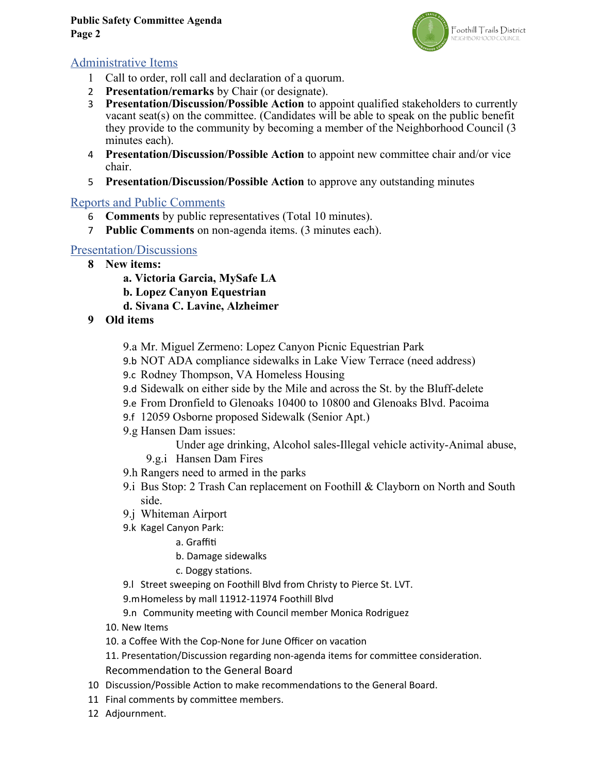### **Public Safety Committee Agenda Page 2**



## Administrative Items

- 1 Call to order, roll call and declaration of a quorum.
- 2 **Presentation/remarks** by Chair (or designate).
- 3 **Presentation/Discussion/Possible Action** to appoint qualified stakeholders to currently vacant seat(s) on the committee. (Candidates will be able to speak on the public benefit they provide to the community by becoming a member of the Neighborhood Council (3 minutes each).
- 4 **Presentation/Discussion/Possible Action** to appoint new committee chair and/or vice chair.
- 5 **Presentation/Discussion/Possible Action** to approve any outstanding minutes

## Reports and Public Comments

- 6 **Comments** by public representatives (Total 10 minutes).
- 7 **Public Comments** on non-agenda items. (3 minutes each).

## Presentation/Discussions

- **8 New items:** 
	- **a. Victoria Garcia, MySafe LA**
	- **b. Lopez Canyon Equestrian**
	- **d. Sivana C. Lavine, Alzheimer**
- **9 Old items**
	- 9.a Mr. Miguel Zermeno: Lopez Canyon Picnic Equestrian Park
	- 9.b NOT ADA compliance sidewalks in Lake View Terrace (need address)
	- 9.c Rodney Thompson, VA Homeless Housing
	- 9.d Sidewalk on either side by the Mile and across the St. by the Bluff-delete
	- 9.e From Dronfield to Glenoaks 10400 to 10800 and Glenoaks Blvd. Pacoima
	- 9.f 12059 Osborne proposed Sidewalk (Senior Apt.)
	- 9.g Hansen Dam issues:
		- Under age drinking, Alcohol sales-Illegal vehicle activity-Animal abuse,
		- 9.g.i Hansen Dam Fires
	- 9.h Rangers need to armed in the parks
	- 9.i Bus Stop: 2 Trash Can replacement on Foothill & Clayborn on North and South side.
	- 9.j Whiteman Airport
	- 9.k Kagel Canyon Park:
		- a. Graffiti
		- b. Damage sidewalks
		- c. Doggy stations.
	- 9.l Street sweeping on Foothill Blvd from Christy to Pierce St. LVT.
	- 9.mHomeless by mall 11912-11974 Foothill Blvd
	- 9.n Community meeting with Council member Monica Rodriguez
	- 10. New Items
	- 10. a Coffee With the Cop-None for June Officer on vacation
	- 11. Presentation/Discussion regarding non-agenda items for committee consideration.
	- Recommendation to the General Board
- 10 Discussion/Possible Action to make recommendations to the General Board.
- 11 Final comments by committee members.
- 12 Adjournment.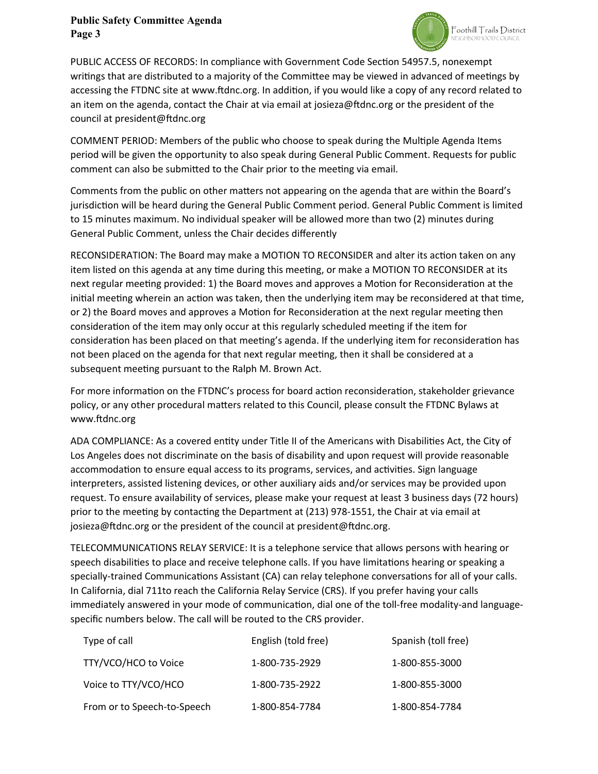### **Public Safety Committee Agenda Page 3**



PUBLIC ACCESS OF RECORDS: In compliance with Government Code Section 54957.5, nonexempt writings that are distributed to a majority of the Committee may be viewed in advanced of meetings by accessing the FTDNC site at www.ftdnc.org. In addition, if you would like a copy of any record related to an item on the agenda, contact the Chair at via email at josieza@ftdnc.org or the president of the council at president@ftdnc.org

COMMENT PERIOD: Members of the public who choose to speak during the Multiple Agenda Items period will be given the opportunity to also speak during General Public Comment. Requests for public comment can also be submitted to the Chair prior to the meeting via email.

Comments from the public on other matters not appearing on the agenda that are within the Board's jurisdiction will be heard during the General Public Comment period. General Public Comment is limited to 15 minutes maximum. No individual speaker will be allowed more than two (2) minutes during General Public Comment, unless the Chair decides differently

RECONSIDERATION: The Board may make a MOTION TO RECONSIDER and alter its action taken on any item listed on this agenda at any time during this meeting, or make a MOTION TO RECONSIDER at its next regular meeting provided: 1) the Board moves and approves a Motion for Reconsideration at the initial meeting wherein an action was taken, then the underlying item may be reconsidered at that time, or 2) the Board moves and approves a Motion for Reconsideration at the next regular meeting then consideration of the item may only occur at this regularly scheduled meeting if the item for consideration has been placed on that meeting's agenda. If the underlying item for reconsideration has not been placed on the agenda for that next regular meeting, then it shall be considered at a subsequent meeting pursuant to the Ralph M. Brown Act.

For more information on the FTDNC's process for board action reconsideration, stakeholder grievance policy, or any other procedural matters related to this Council, please consult the FTDNC Bylaws at www.ftdnc.org

ADA COMPLIANCE: As a covered entity under Title II of the Americans with Disabilities Act, the City of Los Angeles does not discriminate on the basis of disability and upon request will provide reasonable accommodation to ensure equal access to its programs, services, and activities. Sign language interpreters, assisted listening devices, or other auxiliary aids and/or services may be provided upon request. To ensure availability of services, please make your request at least 3 business days (72 hours) prior to the meeting by contacting the Department at (213) 978-1551, the Chair at via email at josieza@ftdnc.org or the president of the council at president@ftdnc.org.

TELECOMMUNICATIONS RELAY SERVICE: It is a telephone service that allows persons with hearing or speech disabilities to place and receive telephone calls. If you have limitations hearing or speaking a specially-trained Communications Assistant (CA) can relay telephone conversations for all of your calls. In California, dial 711to reach the California Relay Service (CRS). If you prefer having your calls immediately answered in your mode of communication, dial one of the toll-free modality-and languagespecific numbers below. The call will be routed to the CRS provider.

| Type of call                | English (told free) | Spanish (toll free) |
|-----------------------------|---------------------|---------------------|
| TTY/VCO/HCO to Voice        | 1-800-735-2929      | 1-800-855-3000      |
| Voice to TTY/VCO/HCO        | 1-800-735-2922      | 1-800-855-3000      |
| From or to Speech-to-Speech | 1-800-854-7784      | 1-800-854-7784      |